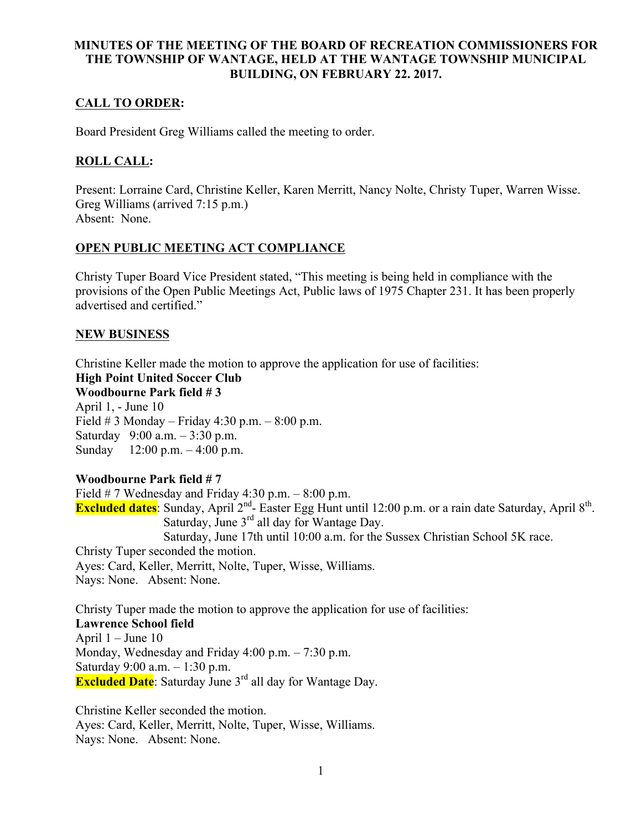# **MINUTES OF THE MEETING OF THE BOARD OF RECREATION COMMISSIONERS FOR THE TOWNSHIP OF WANTAGE, HELD AT THE WANTAGE TOWNSHIP MUNICIPAL BUILDING, ON FEBRUARY 22. 2017.**

# **CALL TO ORDER:**

Board President Greg Williams called the meeting to order.

# **ROLL CALL:**

Present: Lorraine Card, Christine Keller, Karen Merritt, Nancy Nolte, Christy Tuper, Warren Wisse. Greg Williams (arrived 7:15 p.m.) Absent: None.

# **OPEN PUBLIC MEETING ACT COMPLIANCE**

Christy Tuper Board Vice President stated, "This meeting is being held in compliance with the provisions of the Open Public Meetings Act, Public laws of 1975 Chapter 231. It has been properly advertised and certified."

## **NEW BUSINESS**

Christine Keller made the motion to approve the application for use of facilities:

#### **High Point United Soccer Club Woodbourne Park field # 3**

April 1, - June 10 Field  $\#$  3 Monday – Friday 4:30 p.m. – 8:00 p.m. Saturday 9:00 a.m. – 3:30 p.m. Sunday 12:00 p.m. – 4:00 p.m.

# **Woodbourne Park field # 7**

Field  $# 7$  Wednesday and Friday 4:30 p.m.  $- 8:00$  p.m. **Excluded dates**: Sunday, April 2<sup>nd</sup>- Easter Egg Hunt until 12:00 p.m. or a rain date Saturday, April 8<sup>th</sup>. Saturday, June 3<sup>rd</sup> all day for Wantage Day. Saturday, June 17th until 10:00 a.m. for the Sussex Christian School 5K race. Christy Tuper seconded the motion. Ayes: Card, Keller, Merritt, Nolte, Tuper, Wisse, Williams. Nays: None. Absent: None.

Christy Tuper made the motion to approve the application for use of facilities: **Lawrence School field**  April  $1 -$ June  $10$ Monday, Wednesday and Friday 4:00 p.m. – 7:30 p.m. Saturday 9:00 a.m. – 1:30 p.m. **Excluded Date**: Saturday June 3<sup>rd</sup> all day for Wantage Day.

Christine Keller seconded the motion. Ayes: Card, Keller, Merritt, Nolte, Tuper, Wisse, Williams. Nays: None. Absent: None.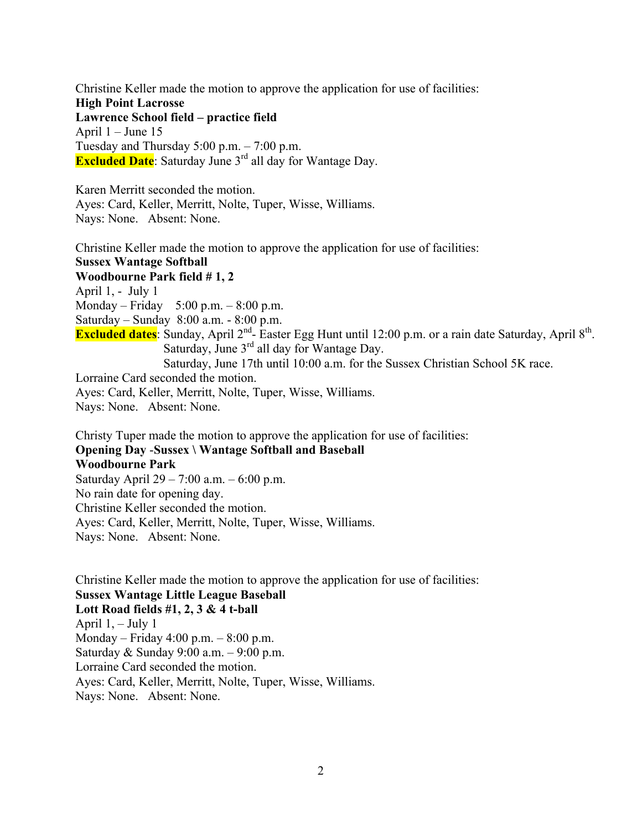Christine Keller made the motion to approve the application for use of facilities: **High Point Lacrosse Lawrence School field – practice field** April  $1 -$  June 15 Tuesday and Thursday  $5:00$  p.m.  $-7:00$  p.m. **Excluded Date**: Saturday June 3<sup>rd</sup> all day for Wantage Day.

Karen Merritt seconded the motion. Ayes: Card, Keller, Merritt, Nolte, Tuper, Wisse, Williams. Nays: None. Absent: None.

Christine Keller made the motion to approve the application for use of facilities: **Sussex Wantage Softball Woodbourne Park field # 1, 2** April 1, - July 1 Monday – Friday 5:00 p.m. – 8:00 p.m. Saturday – Sunday 8:00 a.m. - 8:00 p.m. **Excluded dates**: Sunday, April 2nd- Easter Egg Hunt until 12:00 p.m. or a rain date Saturday, April 8th. Saturday, June  $3<sup>rd</sup>$  all day for Wantage Day. Saturday, June 17th until 10:00 a.m. for the Sussex Christian School 5K race. Lorraine Card seconded the motion. Ayes: Card, Keller, Merritt, Nolte, Tuper, Wisse, Williams. Nays: None. Absent: None.

Christy Tuper made the motion to approve the application for use of facilities: **Opening Day** -**Sussex \ Wantage Softball and Baseball Woodbourne Park**  Saturday April 29 – 7:00 a.m. – 6:00 p.m. No rain date for opening day. Christine Keller seconded the motion.

Ayes: Card, Keller, Merritt, Nolte, Tuper, Wisse, Williams. Nays: None. Absent: None.

Christine Keller made the motion to approve the application for use of facilities: **Sussex Wantage Little League Baseball Lott Road fields #1, 2, 3 & 4 t-ball** April 1, – July 1 Monday – Friday 4:00 p.m. – 8:00 p.m. Saturday & Sunday 9:00 a.m. – 9:00 p.m. Lorraine Card seconded the motion. Ayes: Card, Keller, Merritt, Nolte, Tuper, Wisse, Williams. Nays: None. Absent: None.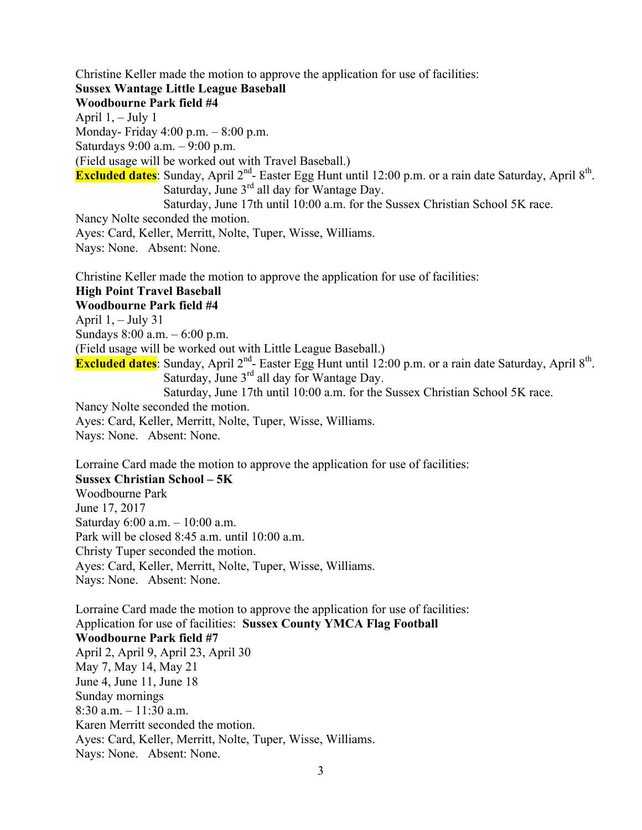Christine Keller made the motion to approve the application for use of facilities:

#### **Sussex Wantage Little League Baseball**

#### **Woodbourne Park field #4**

April  $1, -$  July 1

Monday- Friday 4:00 p.m. – 8:00 p.m.

Saturdays 9:00 a.m. – 9:00 p.m.

(Field usage will be worked out with Travel Baseball.)

**Excluded dates**: Sunday, April 2<sup>nd</sup>- Easter Egg Hunt until 12:00 p.m. or a rain date Saturday, April 8<sup>th</sup>. Saturday, June  $3<sup>rd</sup>$  all day for Wantage Day.

Saturday, June 17th until 10:00 a.m. for the Sussex Christian School 5K race.

Nancy Nolte seconded the motion.

Ayes: Card, Keller, Merritt, Nolte, Tuper, Wisse, Williams.

Nays: None. Absent: None.

Christine Keller made the motion to approve the application for use of facilities:

# **High Point Travel Baseball**

**Woodbourne Park field #4**

April  $1, -$  July 31

Sundays 8:00 a.m. – 6:00 p.m.

(Field usage will be worked out with Little League Baseball.)

**Excluded dates**: Sunday, April 2<sup>nd</sup>- Easter Egg Hunt until 12:00 p.m. or a rain date Saturday, April 8<sup>th</sup>. Saturday, June  $3<sup>rd</sup>$  all day for Wantage Day.

Saturday, June 17th until 10:00 a.m. for the Sussex Christian School 5K race.

Nancy Nolte seconded the motion.

Ayes: Card, Keller, Merritt, Nolte, Tuper, Wisse, Williams.

Nays: None. Absent: None.

Lorraine Card made the motion to approve the application for use of facilities:

#### **Sussex Christian School – 5K**

Woodbourne Park June 17, 2017 Saturday 6:00 a.m. – 10:00 a.m. Park will be closed 8:45 a.m. until 10:00 a.m. Christy Tuper seconded the motion. Ayes: Card, Keller, Merritt, Nolte, Tuper, Wisse, Williams. Nays: None. Absent: None.

Lorraine Card made the motion to approve the application for use of facilities: Application for use of facilities: **Sussex County YMCA Flag Football Woodbourne Park field #7** April 2, April 9, April 23, April 30 May 7, May 14, May 21 June 4, June 11, June 18 Sunday mornings 8:30 a.m. – 11:30 a.m. Karen Merritt seconded the motion. Ayes: Card, Keller, Merritt, Nolte, Tuper, Wisse, Williams. Nays: None. Absent: None.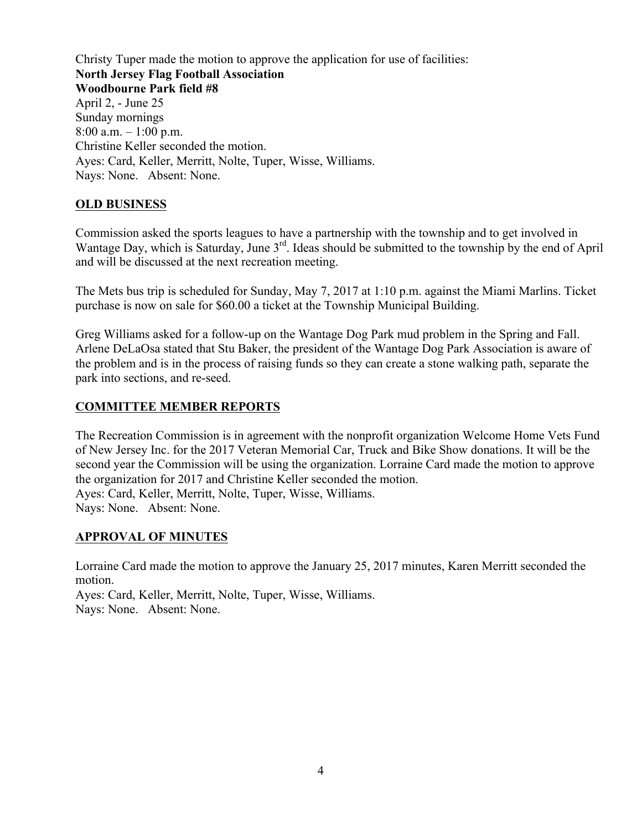Christy Tuper made the motion to approve the application for use of facilities: **North Jersey Flag Football Association Woodbourne Park field #8** April 2, - June 25 Sunday mornings 8:00 a.m.  $-1:00$  p.m. Christine Keller seconded the motion. Ayes: Card, Keller, Merritt, Nolte, Tuper, Wisse, Williams. Nays: None. Absent: None.

# **OLD BUSINESS**

Commission asked the sports leagues to have a partnership with the township and to get involved in Wantage Day, which is Saturday, June 3<sup>rd</sup>. Ideas should be submitted to the township by the end of April and will be discussed at the next recreation meeting.

The Mets bus trip is scheduled for Sunday, May 7, 2017 at 1:10 p.m. against the Miami Marlins. Ticket purchase is now on sale for \$60.00 a ticket at the Township Municipal Building.

Greg Williams asked for a follow-up on the Wantage Dog Park mud problem in the Spring and Fall. Arlene DeLaOsa stated that Stu Baker, the president of the Wantage Dog Park Association is aware of the problem and is in the process of raising funds so they can create a stone walking path, separate the park into sections, and re-seed.

# **COMMITTEE MEMBER REPORTS**

The Recreation Commission is in agreement with the nonprofit organization Welcome Home Vets Fund of New Jersey Inc. for the 2017 Veteran Memorial Car, Truck and Bike Show donations. It will be the second year the Commission will be using the organization. Lorraine Card made the motion to approve the organization for 2017 and Christine Keller seconded the motion. Ayes: Card, Keller, Merritt, Nolte, Tuper, Wisse, Williams. Nays: None. Absent: None.

# **APPROVAL OF MINUTES**

Lorraine Card made the motion to approve the January 25, 2017 minutes, Karen Merritt seconded the motion.

Ayes: Card, Keller, Merritt, Nolte, Tuper, Wisse, Williams. Nays: None. Absent: None.